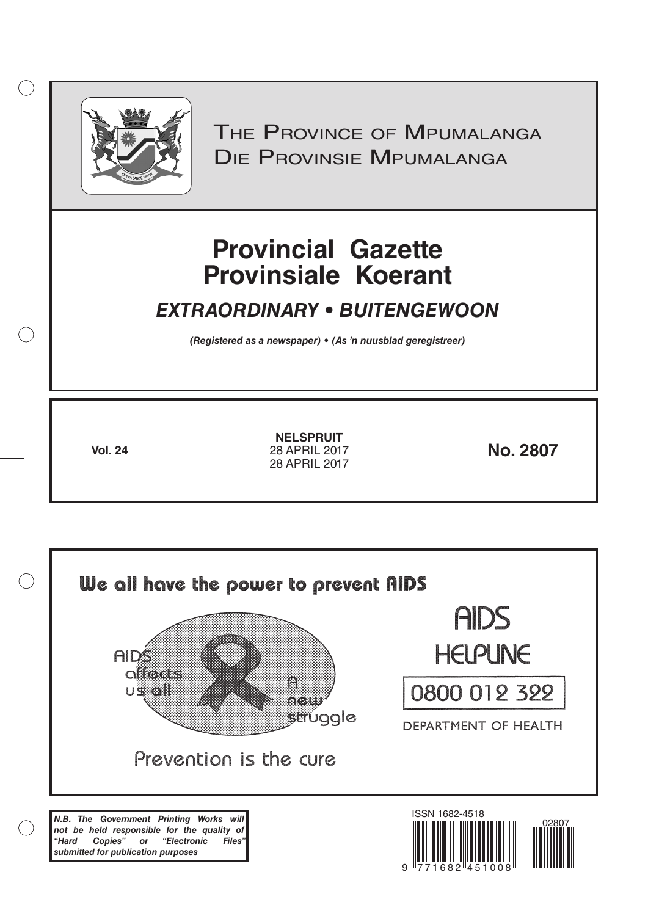

 $( )$ 

THE PROVINCE OF MPUMALANGA Die Provinsie Mpumalanga

# **Provincial Gazette Provinsiale Koerant**

## *EXTRAORDINARY • BUITENGEWOON*

*(Registered as a newspaper) • (As 'n nuusblad geregistreer)*

**Vol. 24 28 APRIL 2017 No. 2807 NELSPRUIT** 28 APRIL 2017 28 APRIL 2017

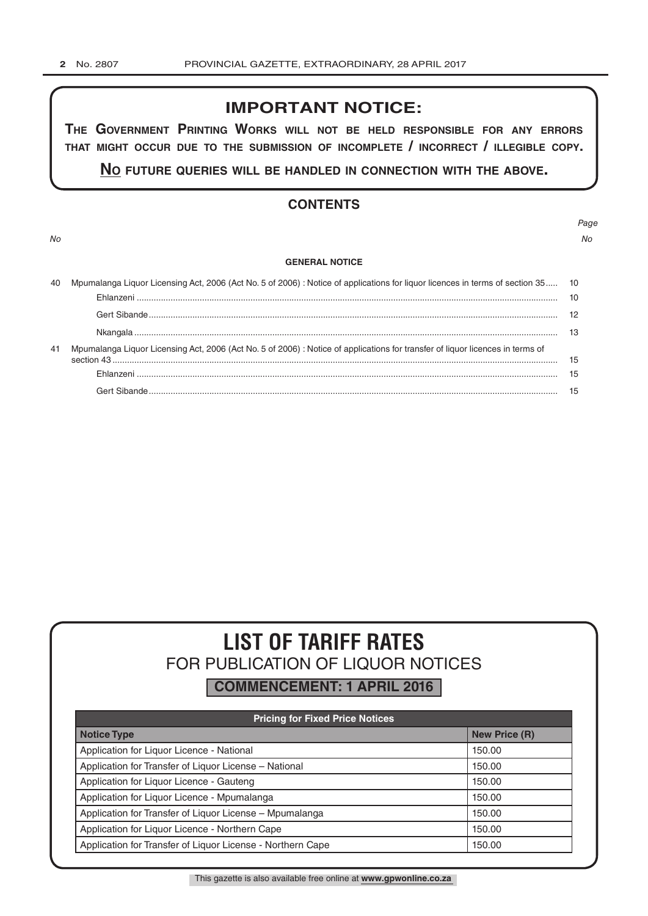### **IMPORTANT NOTICE:**

**The GovernmenT PrinTinG Works Will noT be held resPonsible for any errors ThaT miGhT occur due To The submission of incomPleTe / incorrecT / illeGible coPy.**

**no fuTure queries Will be handled in connecTion WiTh The above.**

### **CONTENTS**

*No No*

## *Page*

#### **GENERAL NOTICE**

| 40 | Mpumalanga Liquor Licensing Act, 2006 (Act No. 5 of 2006) : Notice of applications for liquor licences in terms of section 35 10 |  |  |  |
|----|----------------------------------------------------------------------------------------------------------------------------------|--|--|--|
|    |                                                                                                                                  |  |  |  |
|    |                                                                                                                                  |  |  |  |
|    |                                                                                                                                  |  |  |  |
| 41 | Mpumalanga Liquor Licensing Act, 2006 (Act No. 5 of 2006) : Notice of applications for transfer of liquor licences in terms of   |  |  |  |
|    |                                                                                                                                  |  |  |  |
|    |                                                                                                                                  |  |  |  |

## **LIST OF TARIFF RATES** FOR PUBLICATION OF LIQUOR NOTICES

**COMMENCEMENT: 1 APRIL 2016**

| <b>Pricing for Fixed Price Notices</b>                     |                      |  |  |  |
|------------------------------------------------------------|----------------------|--|--|--|
| <b>Notice Type</b>                                         | <b>New Price (R)</b> |  |  |  |
| Application for Liquor Licence - National                  | 150.00               |  |  |  |
| Application for Transfer of Liquor License - National      | 150.00               |  |  |  |
| Application for Liquor Licence - Gauteng                   | 150.00               |  |  |  |
| Application for Liquor Licence - Mpumalanga                | 150.00               |  |  |  |
| Application for Transfer of Liquor License - Mpumalanga    | 150.00               |  |  |  |
| Application for Liquor Licence - Northern Cape             | 150.00               |  |  |  |
| Application for Transfer of Liquor License - Northern Cape | 150.00               |  |  |  |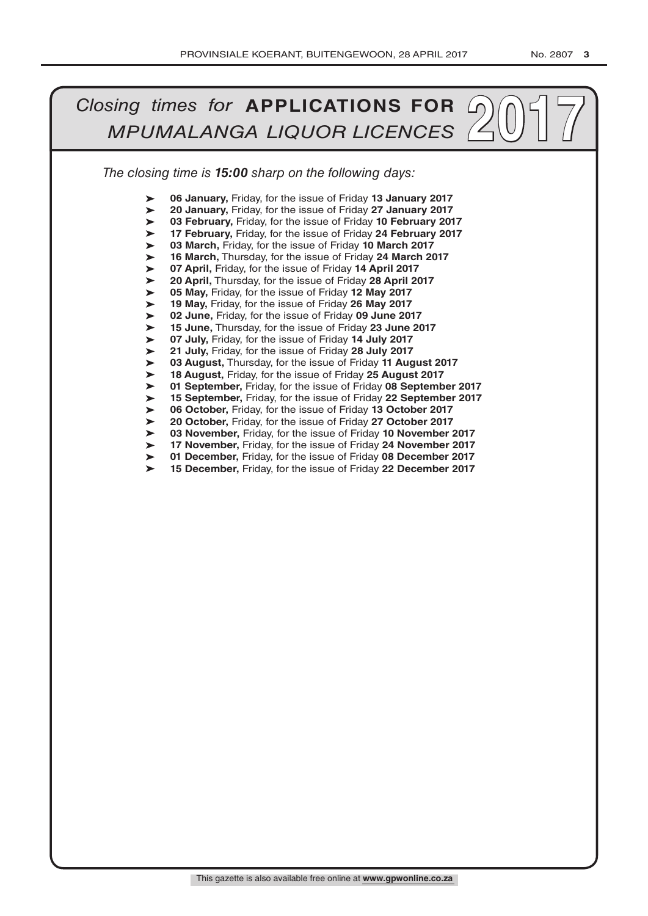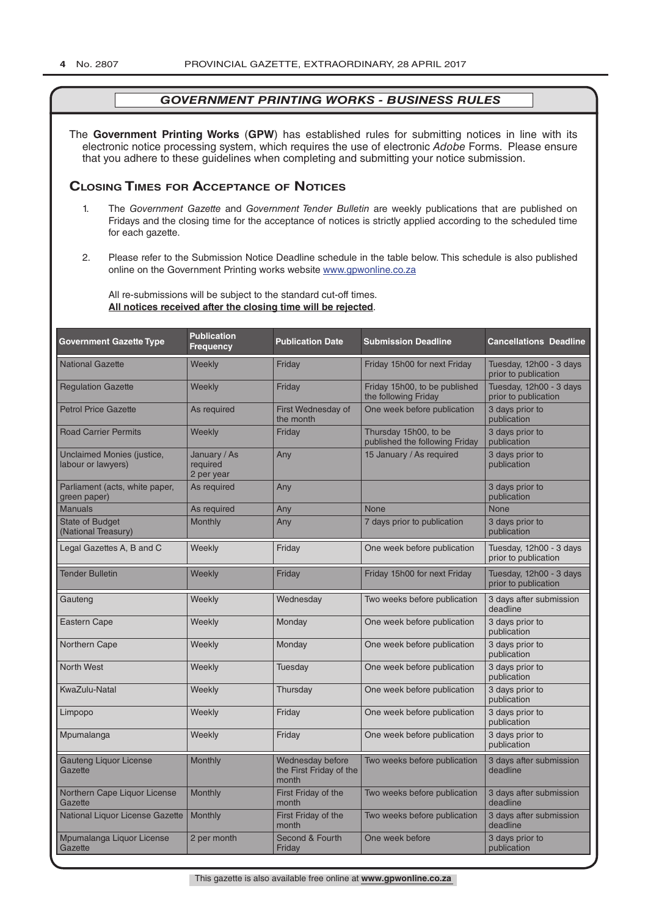The **Government Printing Works** (**GPW**) has established rules for submitting notices in line with its electronic notice processing system, which requires the use of electronic *Adobe* Forms. Please ensure that you adhere to these guidelines when completing and submitting your notice submission.

### **Closing Times for ACCepTAnCe of noTiCes**

- 1. The *Government Gazette* and *Government Tender Bulletin* are weekly publications that are published on Fridays and the closing time for the acceptance of notices is strictly applied according to the scheduled time for each gazette.
- 2. Please refer to the Submission Notice Deadline schedule in the table below. This schedule is also published online on the Government Printing works website www.gpwonline.co.za

All re-submissions will be subject to the standard cut-off times. **All notices received after the closing time will be rejected**.

| <b>Government Gazette Type</b>                   | <b>Publication</b><br><b>Frequency</b> | <b>Publication Date</b>                              | <b>Submission Deadline</b>                              | <b>Cancellations Deadline</b>                   |
|--------------------------------------------------|----------------------------------------|------------------------------------------------------|---------------------------------------------------------|-------------------------------------------------|
| <b>National Gazette</b>                          | Weekly                                 | Friday                                               | Friday 15h00 for next Friday                            | Tuesday, 12h00 - 3 days<br>prior to publication |
| <b>Regulation Gazette</b>                        | Weekly                                 | Friday                                               | Friday 15h00, to be published<br>the following Friday   | Tuesday, 12h00 - 3 days<br>prior to publication |
| <b>Petrol Price Gazette</b>                      | As required                            | First Wednesday of<br>the month                      | One week before publication                             | 3 days prior to<br>publication                  |
| <b>Road Carrier Permits</b>                      | Weekly                                 | Friday                                               | Thursday 15h00, to be<br>published the following Friday | 3 days prior to<br>publication                  |
| Unclaimed Monies (justice,<br>labour or lawyers) | January / As<br>required<br>2 per year | Any                                                  | 15 January / As required                                | 3 days prior to<br>publication                  |
| Parliament (acts, white paper,<br>green paper)   | As required                            | Any                                                  |                                                         | 3 days prior to<br>publication                  |
| <b>Manuals</b>                                   | As required                            | Any                                                  | <b>None</b>                                             | <b>None</b>                                     |
| <b>State of Budget</b><br>(National Treasury)    | <b>Monthly</b>                         | Any                                                  | 7 days prior to publication                             | 3 days prior to<br>publication                  |
| Legal Gazettes A, B and C                        | Weekly                                 | Friday                                               | One week before publication                             | Tuesday, 12h00 - 3 days<br>prior to publication |
| <b>Tender Bulletin</b>                           | Weekly                                 | Friday                                               | Friday 15h00 for next Friday                            | Tuesday, 12h00 - 3 days<br>prior to publication |
| Gauteng                                          | Weekly                                 | Wednesday                                            | Two weeks before publication                            | 3 days after submission<br>deadline             |
| <b>Eastern Cape</b>                              | Weekly                                 | Monday                                               | One week before publication                             | 3 days prior to<br>publication                  |
| Northern Cape                                    | Weekly                                 | Monday                                               | One week before publication                             | 3 days prior to<br>publication                  |
| <b>North West</b>                                | Weekly                                 | Tuesday                                              | One week before publication                             | 3 days prior to<br>publication                  |
| KwaZulu-Natal                                    | Weekly                                 | Thursday                                             | One week before publication                             | 3 days prior to<br>publication                  |
| Limpopo                                          | Weekly                                 | Friday                                               | One week before publication                             | 3 days prior to<br>publication                  |
| Mpumalanga                                       | Weekly                                 | Friday                                               | One week before publication                             | 3 days prior to<br>publication                  |
| <b>Gauteng Liquor License</b><br>Gazette         | Monthly                                | Wednesday before<br>the First Friday of the<br>month | Two weeks before publication                            | 3 days after submission<br>deadline             |
| Northern Cape Liquor License<br>Gazette          | <b>Monthly</b>                         | First Friday of the<br>month                         | Two weeks before publication                            | 3 days after submission<br>deadline             |
| National Liquor License Gazette                  | Monthly                                | First Friday of the<br>month                         | Two weeks before publication                            | 3 days after submission<br>deadline             |
| Mpumalanga Liquor License<br>Gazette             | 2 per month                            | Second & Fourth<br>Friday                            | One week before                                         | 3 days prior to<br>publication                  |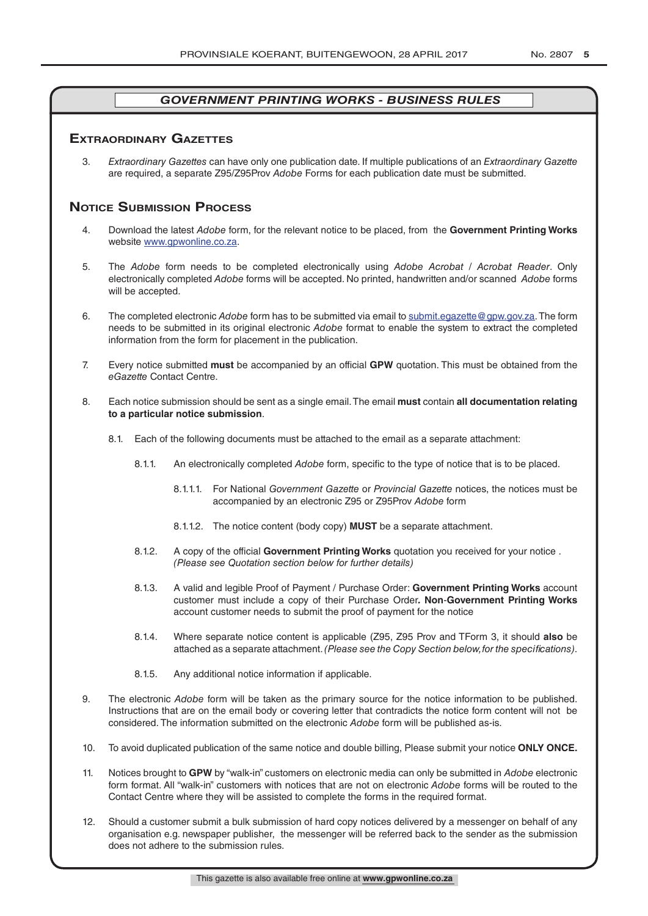### **exTrAordinAry gAzeTTes**

3. *Extraordinary Gazettes* can have only one publication date. If multiple publications of an *Extraordinary Gazette* are required, a separate Z95/Z95Prov *Adobe* Forms for each publication date must be submitted.

### **NOTICE SUBMISSION PROCESS**

- 4. Download the latest *Adobe* form, for the relevant notice to be placed, from the **Government Printing Works** website www.gpwonline.co.za.
- 5. The *Adobe* form needs to be completed electronically using *Adobe Acrobat* / *Acrobat Reader*. Only electronically completed *Adobe* forms will be accepted. No printed, handwritten and/or scanned *Adobe* forms will be accepted.
- 6. The completed electronic *Adobe* form has to be submitted via email to submit.egazette@gpw.gov.za. The form needs to be submitted in its original electronic *Adobe* format to enable the system to extract the completed information from the form for placement in the publication.
- 7. Every notice submitted **must** be accompanied by an official **GPW** quotation. This must be obtained from the *eGazette* Contact Centre.
- 8. Each notice submission should be sent as a single email. The email **must** contain **all documentation relating to a particular notice submission**.
	- 8.1. Each of the following documents must be attached to the email as a separate attachment:
		- 8.1.1. An electronically completed *Adobe* form, specific to the type of notice that is to be placed.
			- 8.1.1.1. For National *Government Gazette* or *Provincial Gazette* notices, the notices must be accompanied by an electronic Z95 or Z95Prov *Adobe* form
			- 8.1.1.2. The notice content (body copy) **MUST** be a separate attachment.
		- 8.1.2. A copy of the official **Government Printing Works** quotation you received for your notice . *(Please see Quotation section below for further details)*
		- 8.1.3. A valid and legible Proof of Payment / Purchase Order: **Government Printing Works** account customer must include a copy of their Purchase Order*.* **Non**-**Government Printing Works** account customer needs to submit the proof of payment for the notice
		- 8.1.4. Where separate notice content is applicable (Z95, Z95 Prov and TForm 3, it should **also** be attached as a separate attachment. *(Please see the Copy Section below, for the specifications)*.
		- 8.1.5. Any additional notice information if applicable.
- 9. The electronic *Adobe* form will be taken as the primary source for the notice information to be published. Instructions that are on the email body or covering letter that contradicts the notice form content will not be considered. The information submitted on the electronic *Adobe* form will be published as-is.
- 10. To avoid duplicated publication of the same notice and double billing, Please submit your notice **ONLY ONCE.**
- 11. Notices brought to **GPW** by "walk-in" customers on electronic media can only be submitted in *Adobe* electronic form format. All "walk-in" customers with notices that are not on electronic *Adobe* forms will be routed to the Contact Centre where they will be assisted to complete the forms in the required format.
- 12. Should a customer submit a bulk submission of hard copy notices delivered by a messenger on behalf of any organisation e.g. newspaper publisher, the messenger will be referred back to the sender as the submission does not adhere to the submission rules.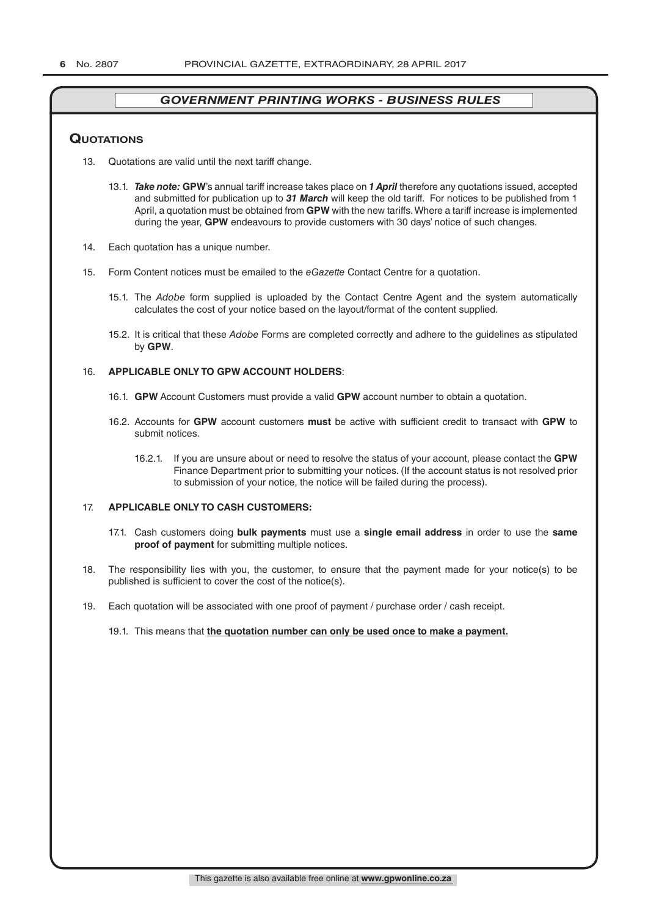### **QuoTATions**

- 13. Quotations are valid until the next tariff change.
	- 13.1. *Take note:* **GPW**'s annual tariff increase takes place on *1 April* therefore any quotations issued, accepted and submitted for publication up to *31 March* will keep the old tariff. For notices to be published from 1 April, a quotation must be obtained from **GPW** with the new tariffs. Where a tariff increase is implemented during the year, **GPW** endeavours to provide customers with 30 days' notice of such changes.
- 14. Each quotation has a unique number.
- 15. Form Content notices must be emailed to the *eGazette* Contact Centre for a quotation.
	- 15.1. The *Adobe* form supplied is uploaded by the Contact Centre Agent and the system automatically calculates the cost of your notice based on the layout/format of the content supplied.
	- 15.2. It is critical that these *Adobe* Forms are completed correctly and adhere to the guidelines as stipulated by **GPW**.

#### 16. **APPLICABLE ONLY TO GPW ACCOUNT HOLDERS**:

- 16.1. **GPW** Account Customers must provide a valid **GPW** account number to obtain a quotation.
- 16.2. Accounts for **GPW** account customers **must** be active with sufficient credit to transact with **GPW** to submit notices.
	- 16.2.1. If you are unsure about or need to resolve the status of your account, please contact the **GPW** Finance Department prior to submitting your notices. (If the account status is not resolved prior to submission of your notice, the notice will be failed during the process).

### 17. **APPLICABLE ONLY TO CASH CUSTOMERS:**

- 17.1. Cash customers doing **bulk payments** must use a **single email address** in order to use the **same proof of payment** for submitting multiple notices.
- 18. The responsibility lies with you, the customer, to ensure that the payment made for your notice(s) to be published is sufficient to cover the cost of the notice(s).
- 19. Each quotation will be associated with one proof of payment / purchase order / cash receipt.

#### 19.1. This means that **the quotation number can only be used once to make a payment.**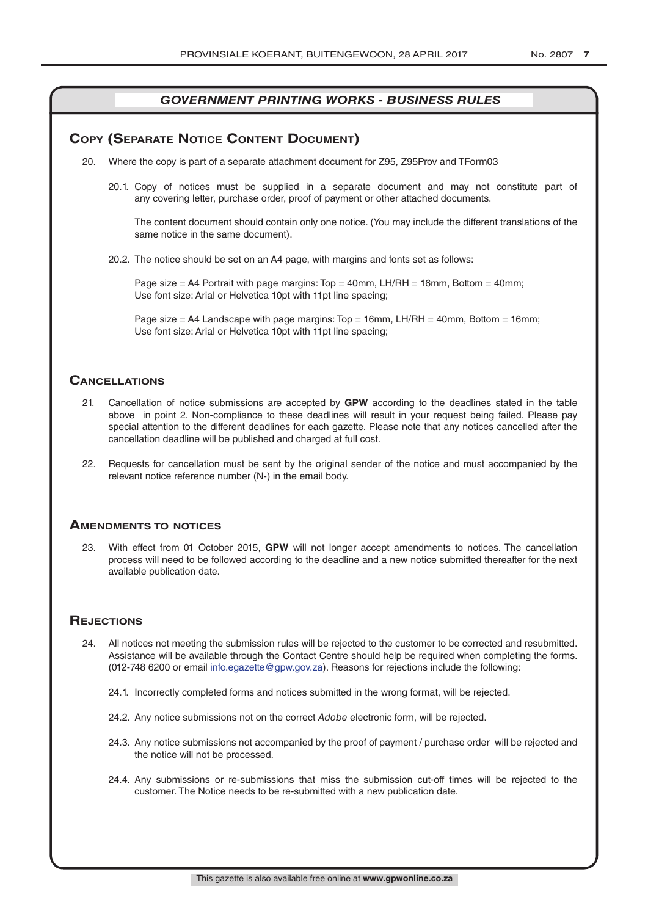### **COPY (SEPARATE NOTICE CONTENT DOCUMENT)**

- 20. Where the copy is part of a separate attachment document for Z95, Z95Prov and TForm03
	- 20.1. Copy of notices must be supplied in a separate document and may not constitute part of any covering letter, purchase order, proof of payment or other attached documents.

The content document should contain only one notice. (You may include the different translations of the same notice in the same document).

20.2. The notice should be set on an A4 page, with margins and fonts set as follows:

Page size  $=$  A4 Portrait with page margins: Top  $=$  40mm, LH/RH  $=$  16mm, Bottom  $=$  40mm; Use font size: Arial or Helvetica 10pt with 11pt line spacing;

Page size = A4 Landscape with page margins: Top = 16mm, LH/RH = 40mm, Bottom = 16mm; Use font size: Arial or Helvetica 10pt with 11pt line spacing;

### **CAnCellATions**

- 21. Cancellation of notice submissions are accepted by **GPW** according to the deadlines stated in the table above in point 2. Non-compliance to these deadlines will result in your request being failed. Please pay special attention to the different deadlines for each gazette. Please note that any notices cancelled after the cancellation deadline will be published and charged at full cost.
- 22. Requests for cancellation must be sent by the original sender of the notice and must accompanied by the relevant notice reference number (N-) in the email body.

### **AmendmenTs To noTiCes**

23. With effect from 01 October 2015, **GPW** will not longer accept amendments to notices. The cancellation process will need to be followed according to the deadline and a new notice submitted thereafter for the next available publication date.

### **REJECTIONS**

- 24. All notices not meeting the submission rules will be rejected to the customer to be corrected and resubmitted. Assistance will be available through the Contact Centre should help be required when completing the forms. (012-748 6200 or email info.egazette@gpw.gov.za). Reasons for rejections include the following:
	- 24.1. Incorrectly completed forms and notices submitted in the wrong format, will be rejected.
	- 24.2. Any notice submissions not on the correct *Adobe* electronic form, will be rejected.
	- 24.3. Any notice submissions not accompanied by the proof of payment / purchase order will be rejected and the notice will not be processed.
	- 24.4. Any submissions or re-submissions that miss the submission cut-off times will be rejected to the customer. The Notice needs to be re-submitted with a new publication date.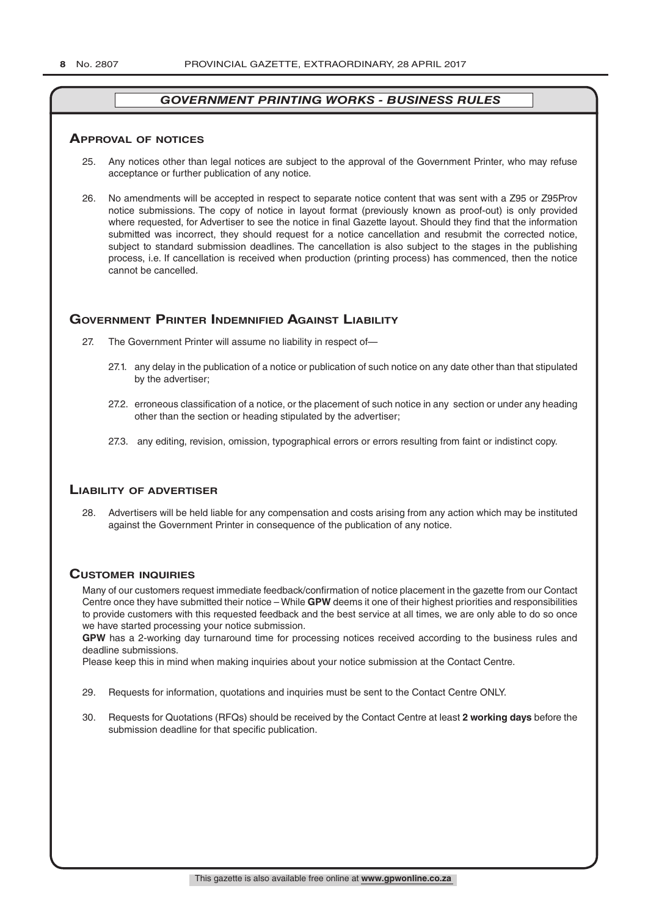### **ApprovAl of noTiCes**

- 25. Any notices other than legal notices are subject to the approval of the Government Printer, who may refuse acceptance or further publication of any notice.
- 26. No amendments will be accepted in respect to separate notice content that was sent with a Z95 or Z95Prov notice submissions. The copy of notice in layout format (previously known as proof-out) is only provided where requested, for Advertiser to see the notice in final Gazette layout. Should they find that the information submitted was incorrect, they should request for a notice cancellation and resubmit the corrected notice, subject to standard submission deadlines. The cancellation is also subject to the stages in the publishing process, i.e. If cancellation is received when production (printing process) has commenced, then the notice cannot be cancelled.

### **governmenT prinTer indemnified AgAinsT liAbiliTy**

- 27. The Government Printer will assume no liability in respect of—
	- 27.1. any delay in the publication of a notice or publication of such notice on any date other than that stipulated by the advertiser;
	- 27.2. erroneous classification of a notice, or the placement of such notice in any section or under any heading other than the section or heading stipulated by the advertiser;
	- 27.3. any editing, revision, omission, typographical errors or errors resulting from faint or indistinct copy.

### **liAbiliTy of AdverTiser**

28. Advertisers will be held liable for any compensation and costs arising from any action which may be instituted against the Government Printer in consequence of the publication of any notice.

### **CusTomer inQuiries**

Many of our customers request immediate feedback/confirmation of notice placement in the gazette from our Contact Centre once they have submitted their notice – While **GPW** deems it one of their highest priorities and responsibilities to provide customers with this requested feedback and the best service at all times, we are only able to do so once we have started processing your notice submission.

**GPW** has a 2-working day turnaround time for processing notices received according to the business rules and deadline submissions.

Please keep this in mind when making inquiries about your notice submission at the Contact Centre.

- 29. Requests for information, quotations and inquiries must be sent to the Contact Centre ONLY.
- 30. Requests for Quotations (RFQs) should be received by the Contact Centre at least **2 working days** before the submission deadline for that specific publication.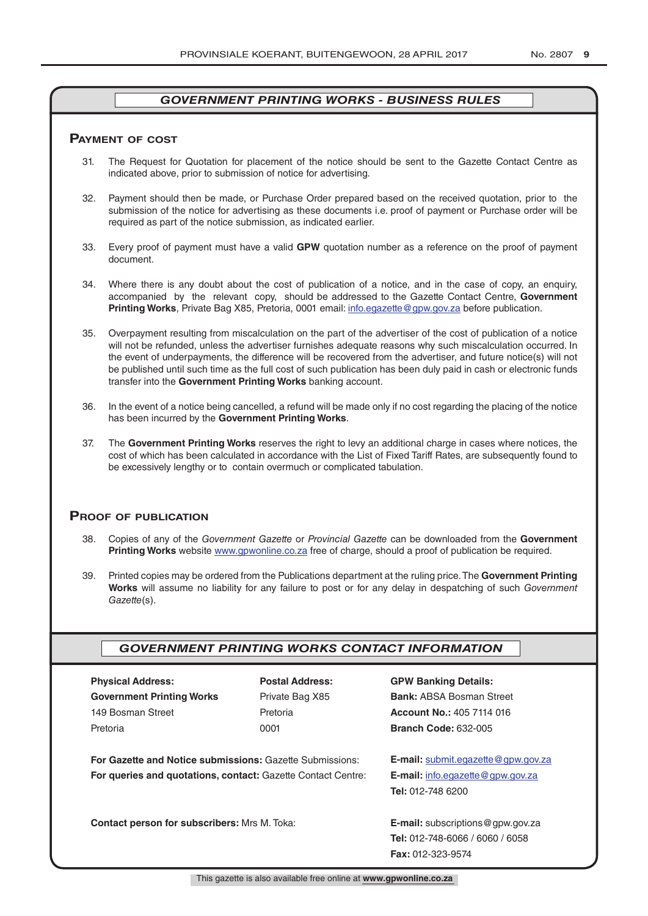### **pAymenT of CosT**

- 31. The Request for Quotation for placement of the notice should be sent to the Gazette Contact Centre as indicated above, prior to submission of notice for advertising.
- 32. Payment should then be made, or Purchase Order prepared based on the received quotation, prior to the submission of the notice for advertising as these documents i.e. proof of payment or Purchase order will be required as part of the notice submission, as indicated earlier.
- 33. Every proof of payment must have a valid **GPW** quotation number as a reference on the proof of payment document.
- 34. Where there is any doubt about the cost of publication of a notice, and in the case of copy, an enquiry, accompanied by the relevant copy, should be addressed to the Gazette Contact Centre, **Government Printing Works**, Private Bag X85, Pretoria, 0001 email: info.egazette@gpw.gov.za before publication.
- 35. Overpayment resulting from miscalculation on the part of the advertiser of the cost of publication of a notice will not be refunded, unless the advertiser furnishes adequate reasons why such miscalculation occurred. In the event of underpayments, the difference will be recovered from the advertiser, and future notice(s) will not be published until such time as the full cost of such publication has been duly paid in cash or electronic funds transfer into the **Government Printing Works** banking account.
- 36. In the event of a notice being cancelled, a refund will be made only if no cost regarding the placing of the notice has been incurred by the **Government Printing Works**.
- 37. The **Government Printing Works** reserves the right to levy an additional charge in cases where notices, the cost of which has been calculated in accordance with the List of Fixed Tariff Rates, are subsequently found to be excessively lengthy or to contain overmuch or complicated tabulation.

### **proof of publiCATion**

- 38. Copies of any of the *Government Gazette* or *Provincial Gazette* can be downloaded from the **Government Printing Works** website www.gpwonline.co.za free of charge, should a proof of publication be required.
- 39. Printed copies may be ordered from the Publications department at the ruling price. The **Government Printing Works** will assume no liability for any failure to post or for any delay in despatching of such *Government Gazette*(s).

### *GOVERNMENT PRINTING WORKS CONTACT INFORMATION*

| <b>Physical Address:</b>         |  |  |  |  |
|----------------------------------|--|--|--|--|
| <b>Government Printing Works</b> |  |  |  |  |
| 149 Bosman Street                |  |  |  |  |
| Pretoria                         |  |  |  |  |

**For Gazette and Notice submissions:** Gazette Submissions: **E-mail:** submit.egazette@gpw.gov.za **For queries and quotations, contact:** Gazette Contact Centre: **E-mail:** info.egazette@gpw.gov.za

## **Physical Address: Postal Address: GPW Banking Details:**

Private Bag X85 **Bank:** ABSA Bosman Street 149 Bosman Street Pretoria **Account No.:** 405 7114 016 Pretoria 0001 **Branch Code:** 632-005

**Tel:** 012-748 6200

**Contact person for subscribers:** Mrs M. Toka: **E-mail:** subscriptions@gpw.gov.za **Tel:** 012-748-6066 / 6060 / 6058 **Fax:** 012-323-9574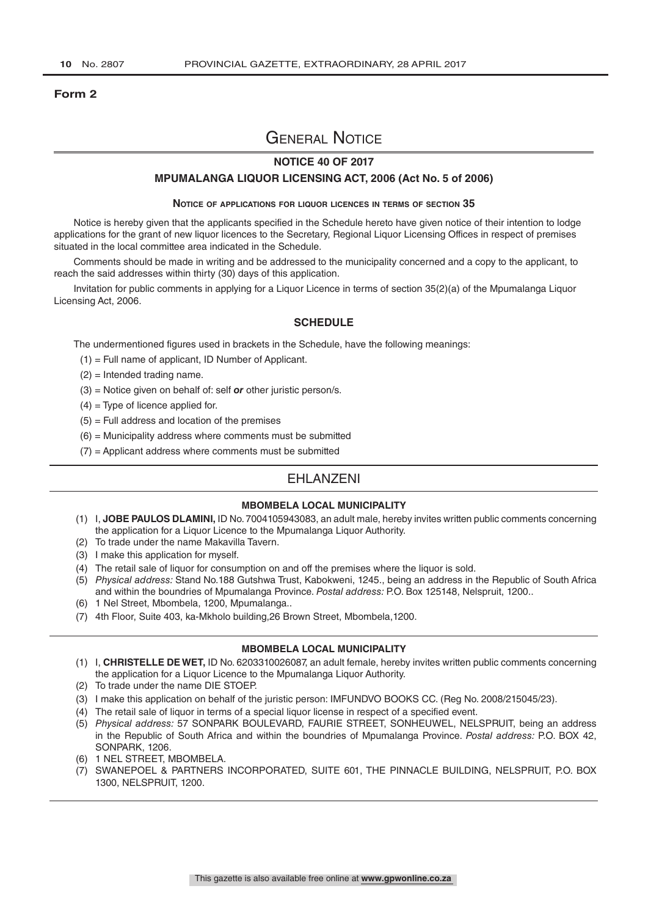### **Form 2**

### General Notice

### **NOTICE 40 OF 2017**

#### **MPUMALANGA LIQUOR LICENSING ACT, 2006 (Act No. 5 of 2006)**

#### **Notice of applications for liquor licences in terms of section 35**

Notice is hereby given that the applicants specified in the Schedule hereto have given notice of their intention to lodge applications for the grant of new liquor licences to the Secretary, Regional Liquor Licensing Offices in respect of premises situated in the local committee area indicated in the Schedule.

Comments should be made in writing and be addressed to the municipality concerned and a copy to the applicant, to reach the said addresses within thirty (30) days of this application.

Invitation for public comments in applying for a Liquor Licence in terms of section 35(2)(a) of the Mpumalanga Liquor Licensing Act, 2006.

### **SCHEDULE**

The undermentioned figures used in brackets in the Schedule, have the following meanings:

- (1) = Full name of applicant, ID Number of Applicant.
- (2) = Intended trading name.
- (3) = Notice given on behalf of: self *or* other juristic person/s.
- $(4)$  = Type of licence applied for.
- $(5)$  = Full address and location of the premises
- $(6)$  = Municipality address where comments must be submitted
- $(7)$  = Applicant address where comments must be submitted

### **FHI ANZENI**

### **MBOMBELA LOCAL MUNICIPALITY**

- (1) I, **JOBE PAULOS DLAMINI,** ID No. 7004105943083, an adult male, hereby invites written public comments concerning the application for a Liquor Licence to the Mpumalanga Liquor Authority.
- (2) To trade under the name Makavilla Tavern.
- (3) I make this application for myself.
- (4) The retail sale of liquor for consumption on and off the premises where the liquor is sold.
- (5) *Physical address:* Stand No.188 Gutshwa Trust, Kabokweni, 1245., being an address in the Republic of South Africa and within the boundries of Mpumalanga Province. *Postal address:* P.O. Box 125148, Nelspruit, 1200..
- (6) 1 Nel Street, Mbombela, 1200, Mpumalanga..
- (7) 4th Floor, Suite 403, ka-Mkholo building,26 Brown Street, Mbombela,1200.

#### **MBOMBELA LOCAL MUNICIPALITY**

(1) I, **CHRISTELLE DE WET,** ID No. 6203310026087, an adult female, hereby invites written public comments concerning the application for a Liquor Licence to the Mpumalanga Liquor Authority.

- (2) To trade under the name DIE STOEP.
- (3) I make this application on behalf of the juristic person: IMFUNDVO BOOKS CC. (Reg No. 2008/215045/23).
- (4) The retail sale of liquor in terms of a special liquor license in respect of a specified event.
- (5) *Physical address:* 57 SONPARK BOULEVARD, FAURIE STREET, SONHEUWEL, NELSPRUIT, being an address in the Republic of South Africa and within the boundries of Mpumalanga Province. *Postal address:* P.O. BOX 42, SONPARK, 1206.
- (6) 1 NEL STREET, MBOMBELA.
- (7) SWANEPOEL & PARTNERS INCORPORATED, SUITE 601, THE PINNACLE BUILDING, NELSPRUIT, P.O. BOX 1300, NELSPRUIT, 1200.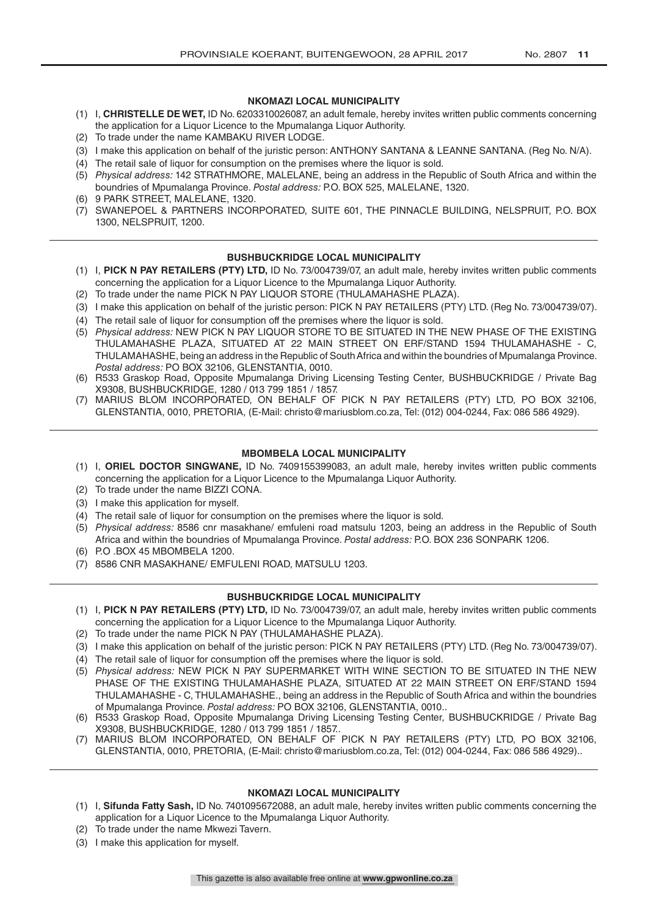### **NKOMAZI LOCAL MUNICIPALITY**

- (1) I, **CHRISTELLE DE WET,** ID No. 6203310026087, an adult female, hereby invites written public comments concerning the application for a Liquor Licence to the Mpumalanga Liquor Authority.
- (2) To trade under the name KAMBAKU RIVER LODGE.
- (3) I make this application on behalf of the juristic person: ANTHONY SANTANA & LEANNE SANTANA. (Reg No. N/A).
- (4) The retail sale of liquor for consumption on the premises where the liquor is sold.
- (5) *Physical address:* 142 STRATHMORE, MALELANE, being an address in the Republic of South Africa and within the boundries of Mpumalanga Province. *Postal address:* P.O. BOX 525, MALELANE, 1320.
- (6) 9 PARK STREET, MALELANE, 1320.
- (7) SWANEPOEL & PARTNERS INCORPORATED, SUITE 601, THE PINNACLE BUILDING, NELSPRUIT, P.O. BOX 1300, NELSPRUIT, 1200.

### **BUSHBUCKRIDGE LOCAL MUNICIPALITY**

- (1) I, **PICK N PAY RETAILERS (PTY) LTD,** ID No. 73/004739/07, an adult male, hereby invites written public comments concerning the application for a Liquor Licence to the Mpumalanga Liquor Authority.
- (2) To trade under the name PICK N PAY LIQUOR STORE (THULAMAHASHE PLAZA).
- (3) I make this application on behalf of the juristic person: PICK N PAY RETAILERS (PTY) LTD. (Reg No. 73/004739/07).
- (4) The retail sale of liquor for consumption off the premises where the liquor is sold.
- (5) *Physical address:* NEW PICK N PAY LIQUOR STORE TO BE SITUATED IN THE NEW PHASE OF THE EXISTING THULAMAHASHE PLAZA, SITUATED AT 22 MAIN STREET ON ERF/STAND 1594 THULAMAHASHE - C, THULAMAHASHE, being an address in the Republic of South Africa and within the boundries of Mpumalanga Province. *Postal address:* PO BOX 32106, GLENSTANTIA, 0010.
- (6) R533 Graskop Road, Opposite Mpumalanga Driving Licensing Testing Center, BUSHBUCKRIDGE / Private Bag X9308, BUSHBUCKRIDGE, 1280 / 013 799 1851 / 1857.
- (7) MARIUS BLOM INCORPORATED, ON BEHALF OF PICK N PAY RETAILERS (PTY) LTD, PO BOX 32106, GLENSTANTIA, 0010, PRETORIA, (E-Mail: christo@mariusblom.co.za, Tel: (012) 004-0244, Fax: 086 586 4929).

### **MBOMBELA LOCAL MUNICIPALITY**

- (1) I, **ORIEL DOCTOR SINGWANE,** ID No. 7409155399083, an adult male, hereby invites written public comments concerning the application for a Liquor Licence to the Mpumalanga Liquor Authority.
- (2) To trade under the name BIZZI CONA.
- (3) I make this application for myself.
- (4) The retail sale of liquor for consumption on the premises where the liquor is sold.
- (5) *Physical address:* 8586 cnr masakhane/ emfuleni road matsulu 1203, being an address in the Republic of South Africa and within the boundries of Mpumalanga Province. *Postal address:* P.O. BOX 236 SONPARK 1206.
- (6) P.O .BOX 45 MBOMBELA 1200.
- (7) 8586 CNR MASAKHANE/ EMFULENI ROAD, MATSULU 1203.

#### **BUSHBUCKRIDGE LOCAL MUNICIPALITY**

- (1) I, **PICK N PAY RETAILERS (PTY) LTD,** ID No. 73/004739/07, an adult male, hereby invites written public comments concerning the application for a Liquor Licence to the Mpumalanga Liquor Authority.
- (2) To trade under the name PICK N PAY (THULAMAHASHE PLAZA).
- (3) I make this application on behalf of the juristic person: PICK N PAY RETAILERS (PTY) LTD. (Reg No. 73/004739/07).
- (4) The retail sale of liquor for consumption off the premises where the liquor is sold.
- (5) *Physical address:* NEW PICK N PAY SUPERMARKET WITH WINE SECTION TO BE SITUATED IN THE NEW PHASE OF THE EXISTING THULAMAHASHE PLAZA, SITUATED AT 22 MAIN STREET ON ERF/STAND 1594 THULAMAHASHE - C, THULAMAHASHE., being an address in the Republic of South Africa and within the boundries of Mpumalanga Province. *Postal address:* PO BOX 32106, GLENSTANTIA, 0010..
- (6) R533 Graskop Road, Opposite Mpumalanga Driving Licensing Testing Center, BUSHBUCKRIDGE / Private Bag X9308, BUSHBUCKRIDGE, 1280 / 013 799 1851 / 1857..
- (7) MARIUS BLOM INCORPORATED, ON BEHALF OF PICK N PAY RETAILERS (PTY) LTD, PO BOX 32106, GLENSTANTIA, 0010, PRETORIA, (E-Mail: christo@mariusblom.co.za, Tel: (012) 004-0244, Fax: 086 586 4929)..

### **NKOMAZI LOCAL MUNICIPALITY**

- (1) I, **Sifunda Fatty Sash,** ID No. 7401095672088, an adult male, hereby invites written public comments concerning the application for a Liquor Licence to the Mpumalanga Liquor Authority.
- (2) To trade under the name Mkwezi Tavern.
- (3) I make this application for myself.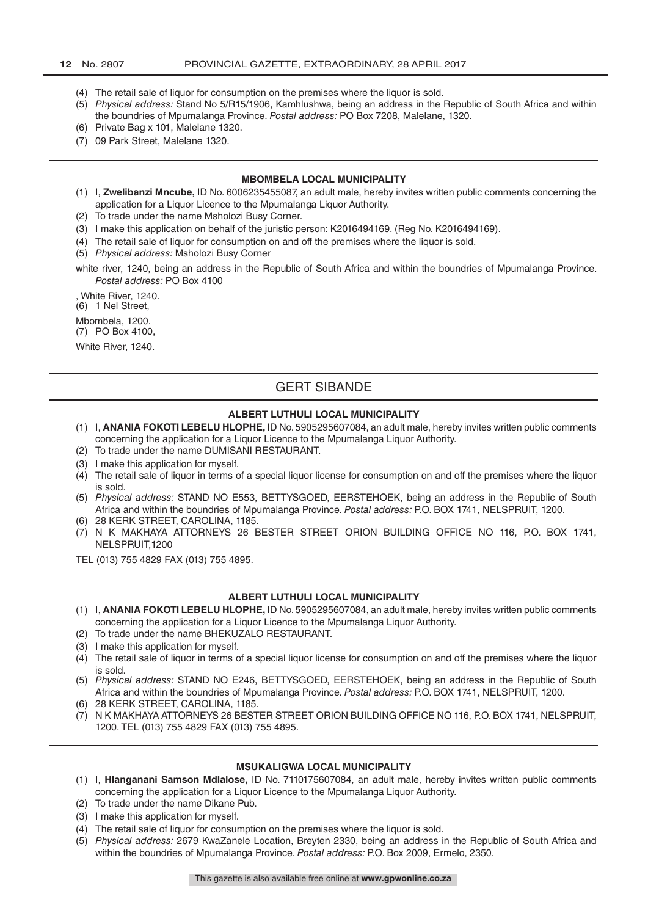- (4) The retail sale of liquor for consumption on the premises where the liquor is sold.
- (5) *Physical address:* Stand No 5/R15/1906, Kamhlushwa, being an address in the Republic of South Africa and within the boundries of Mpumalanga Province. *Postal address:* PO Box 7208, Malelane, 1320.
- (6) Private Bag x 101, Malelane 1320.
- (7) 09 Park Street, Malelane 1320.

#### **MBOMBELA LOCAL MUNICIPALITY**

- (1) I, **Zwelibanzi Mncube,** ID No. 6006235455087, an adult male, hereby invites written public comments concerning the application for a Liquor Licence to the Mpumalanga Liquor Authority.
- (2) To trade under the name Msholozi Busy Corner.
- (3) I make this application on behalf of the juristic person: K2016494169. (Reg No. K2016494169).
- (4) The retail sale of liquor for consumption on and off the premises where the liquor is sold.
- (5) *Physical address:* Msholozi Busy Corner
- white river, 1240, being an address in the Republic of South Africa and within the boundries of Mpumalanga Province. *Postal address:* PO Box 4100

, White River, 1240.

(6) 1 Nel Street,

Mbombela, 1200. (7) PO Box 4100,

White River, 1240.

### GERT SIBANDE

### **ALBERT LUTHULI LOCAL MUNICIPALITY**

- (1) I, **ANANIA FOKOTI LEBELU HLOPHE,** ID No. 5905295607084, an adult male, hereby invites written public comments concerning the application for a Liquor Licence to the Mpumalanga Liquor Authority.
- (2) To trade under the name DUMISANI RESTAURANT.
- (3) I make this application for myself.
- (4) The retail sale of liquor in terms of a special liquor license for consumption on and off the premises where the liquor is sold.
- (5) *Physical address:* STAND NO E553, BETTYSGOED, EERSTEHOEK, being an address in the Republic of South Africa and within the boundries of Mpumalanga Province. *Postal address:* P.O. BOX 1741, NELSPRUIT, 1200.
- (6) 28 KERK STREET, CAROLINA, 1185.
- (7) N K MAKHAYA ATTORNEYS 26 BESTER STREET ORION BUILDING OFFICE NO 116, P.O. BOX 1741, NELSPRUIT,1200
- TEL (013) 755 4829 FAX (013) 755 4895.

#### **ALBERT LUTHULI LOCAL MUNICIPALITY**

- (1) I, **ANANIA FOKOTI LEBELU HLOPHE,** ID No. 5905295607084, an adult male, hereby invites written public comments concerning the application for a Liquor Licence to the Mpumalanga Liquor Authority.
- (2) To trade under the name BHEKUZALO RESTAURANT.
- (3) I make this application for myself.
- (4) The retail sale of liquor in terms of a special liquor license for consumption on and off the premises where the liquor is sold.
- (5) *Physical address:* STAND NO E246, BETTYSGOED, EERSTEHOEK, being an address in the Republic of South Africa and within the boundries of Mpumalanga Province. *Postal address:* P.O. BOX 1741, NELSPRUIT, 1200.
- (6) 28 KERK STREET, CAROLINA, 1185.
- (7) N K MAKHAYA ATTORNEYS 26 BESTER STREET ORION BUILDING OFFICE NO 116, P.O. BOX 1741, NELSPRUIT, 1200. TEL (013) 755 4829 FAX (013) 755 4895.

### **MSUKALIGWA LOCAL MUNICIPALITY**

- (1) I, **Hlanganani Samson Mdlalose,** ID No. 7110175607084, an adult male, hereby invites written public comments concerning the application for a Liquor Licence to the Mpumalanga Liquor Authority.
- (2) To trade under the name Dikane Pub.
- (3) I make this application for myself.
- (4) The retail sale of liquor for consumption on the premises where the liquor is sold.
- (5) *Physical address:* 2679 KwaZanele Location, Breyten 2330, being an address in the Republic of South Africa and within the boundries of Mpumalanga Province. *Postal address:* P.O. Box 2009, Ermelo, 2350.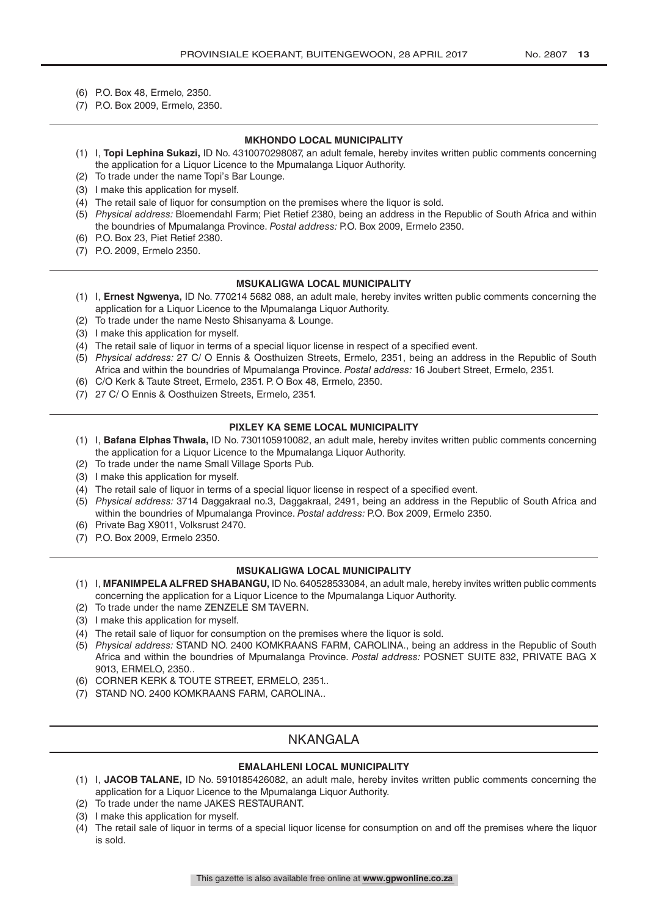- (6) P.O. Box 48, Ermelo, 2350.
- (7) P.O. Box 2009, Ermelo, 2350.

#### **MKHONDO LOCAL MUNICIPALITY**

- (1) I, **Topi Lephina Sukazi,** ID No. 4310070298087, an adult female, hereby invites written public comments concerning the application for a Liquor Licence to the Mpumalanga Liquor Authority.
- (2) To trade under the name Topi's Bar Lounge.
- (3) I make this application for myself.
- (4) The retail sale of liquor for consumption on the premises where the liquor is sold.
- (5) *Physical address:* Bloemendahl Farm; Piet Retief 2380, being an address in the Republic of South Africa and within the boundries of Mpumalanga Province. *Postal address:* P.O. Box 2009, Ermelo 2350.
- (6) P.O. Box 23, Piet Retief 2380.
- (7) P.O. 2009, Ermelo 2350.

#### **MSUKALIGWA LOCAL MUNICIPALITY**

- (1) I, **Ernest Ngwenya,** ID No. 770214 5682 088, an adult male, hereby invites written public comments concerning the application for a Liquor Licence to the Mpumalanga Liquor Authority.
- (2) To trade under the name Nesto Shisanyama & Lounge.
- (3) I make this application for myself.
- (4) The retail sale of liquor in terms of a special liquor license in respect of a specified event.
- (5) *Physical address:* 27 C/ O Ennis & Oosthuizen Streets, Ermelo, 2351, being an address in the Republic of South Africa and within the boundries of Mpumalanga Province. *Postal address:* 16 Joubert Street, Ermelo, 2351.
- (6) C/O Kerk & Taute Street, Ermelo, 2351. P. O Box 48, Ermelo, 2350.
- (7) 27 C/ O Ennis & Oosthuizen Streets, Ermelo, 2351.

#### **PIXLEY KA SEME LOCAL MUNICIPALITY**

- (1) I, **Bafana Elphas Thwala,** ID No. 7301105910082, an adult male, hereby invites written public comments concerning the application for a Liquor Licence to the Mpumalanga Liquor Authority.
- (2) To trade under the name Small Village Sports Pub.
- (3) I make this application for myself.
- (4) The retail sale of liquor in terms of a special liquor license in respect of a specified event.
- (5) *Physical address:* 3714 Daggakraal no.3, Daggakraal, 2491, being an address in the Republic of South Africa and within the boundries of Mpumalanga Province. *Postal address:* P.O. Box 2009, Ermelo 2350.
- (6) Private Bag X9011, Volksrust 2470.
- (7) P.O. Box 2009, Ermelo 2350.

#### **MSUKALIGWA LOCAL MUNICIPALITY**

- (1) I, **MFANIMPELA ALFRED SHABANGU,** ID No. 640528533084, an adult male, hereby invites written public comments concerning the application for a Liquor Licence to the Mpumalanga Liquor Authority.
- (2) To trade under the name ZENZELE SM TAVERN.
- (3) I make this application for myself.
- (4) The retail sale of liquor for consumption on the premises where the liquor is sold.
- (5) *Physical address:* STAND NO. 2400 KOMKRAANS FARM, CAROLINA., being an address in the Republic of South Africa and within the boundries of Mpumalanga Province. *Postal address:* POSNET SUITE 832, PRIVATE BAG X 9013, ERMELO, 2350..
- (6) CORNER KERK & TOUTE STREET, ERMELO, 2351..
- (7) STAND NO. 2400 KOMKRAANS FARM, CAROLINA..

### NKANGALA

### **EMALAHLENI LOCAL MUNICIPALITY**

- (1) I, **JACOB TALANE,** ID No. 5910185426082, an adult male, hereby invites written public comments concerning the application for a Liquor Licence to the Mpumalanga Liquor Authority.
- (2) To trade under the name JAKES RESTAURANT.
- (3) I make this application for myself.
- (4) The retail sale of liquor in terms of a special liquor license for consumption on and off the premises where the liquor is sold.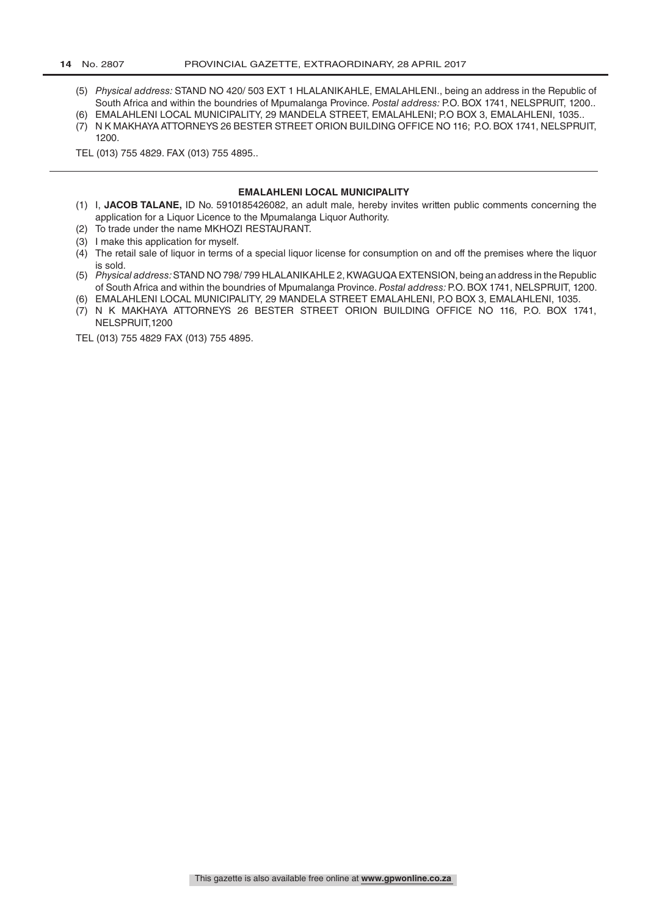- (5) *Physical address:* STAND NO 420/ 503 EXT 1 HLALANIKAHLE, EMALAHLENI., being an address in the Republic of South Africa and within the boundries of Mpumalanga Province. *Postal address:* P.O. BOX 1741, NELSPRUIT, 1200..
- (6) EMALAHLENI LOCAL MUNICIPALITY, 29 MANDELA STREET, EMALAHLENI; P.O BOX 3, EMALAHLENI, 1035..
- (7) N K MAKHAYA ATTORNEYS 26 BESTER STREET ORION BUILDING OFFICE NO 116; P.O. BOX 1741, NELSPRUIT, 1200.

TEL (013) 755 4829. FAX (013) 755 4895..

#### **EMALAHLENI LOCAL MUNICIPALITY**

- (1) I, **JACOB TALANE,** ID No. 5910185426082, an adult male, hereby invites written public comments concerning the application for a Liquor Licence to the Mpumalanga Liquor Authority.
- (2) To trade under the name MKHOZI RESTAURANT.
- (3) I make this application for myself.
- (4) The retail sale of liquor in terms of a special liquor license for consumption on and off the premises where the liquor is sold.
- (5) *Physical address:* STAND NO 798/ 799 HLALANIKAHLE 2, KWAGUQA EXTENSION, being an address in the Republic of South Africa and within the boundries of Mpumalanga Province. *Postal address:* P.O. BOX 1741, NELSPRUIT, 1200.
- (6) EMALAHLENI LOCAL MUNICIPALITY, 29 MANDELA STREET EMALAHLENI, P.O BOX 3, EMALAHLENI, 1035. (7) N K MAKHAYA ATTORNEYS 26 BESTER STREET ORION BUILDING OFFICE NO 116, P.O. BOX 1741, NELSPRUIT,1200

TEL (013) 755 4829 FAX (013) 755 4895.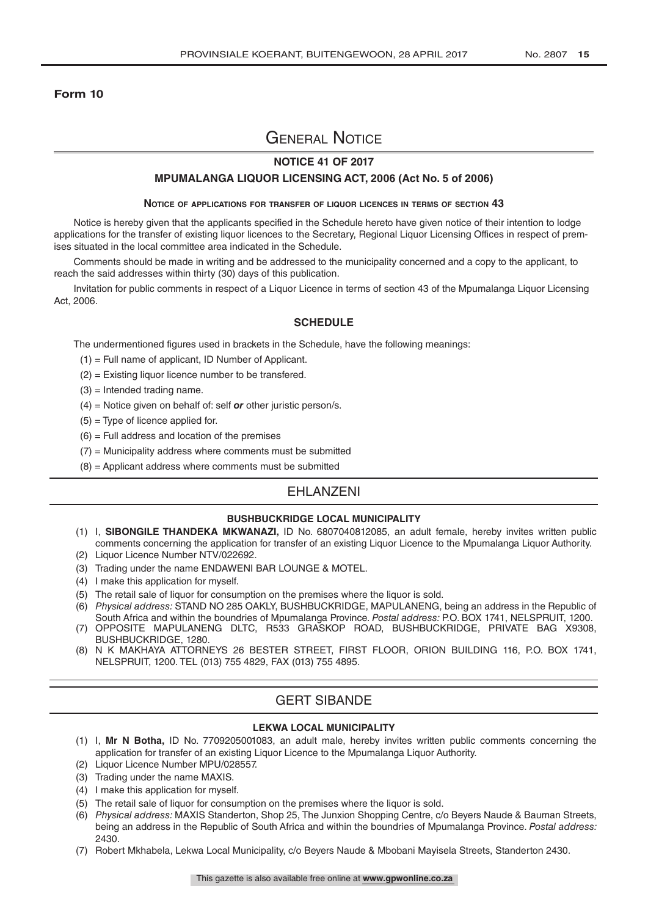### **Form 10**

### General Notice

### **NOTICE 41 OF 2017**

#### **MPUMALANGA LIQUOR LICENSING ACT, 2006 (Act No. 5 of 2006)**

#### **Notice of applications for transfer of liquor licences in terms of section 43**

Notice is hereby given that the applicants specified in the Schedule hereto have given notice of their intention to lodge applications for the transfer of existing liquor licences to the Secretary, Regional Liquor Licensing Offices in respect of premises situated in the local committee area indicated in the Schedule.

Comments should be made in writing and be addressed to the municipality concerned and a copy to the applicant, to reach the said addresses within thirty (30) days of this publication.

Invitation for public comments in respect of a Liquor Licence in terms of section 43 of the Mpumalanga Liquor Licensing Act, 2006.

### **SCHEDULE**

The undermentioned figures used in brackets in the Schedule, have the following meanings:

- (1) = Full name of applicant, ID Number of Applicant.
- (2) = Existing liquor licence number to be transfered.
- $(3)$  = Intended trading name.
- (4) = Notice given on behalf of: self *or* other juristic person/s.
- $(5)$  = Type of licence applied for.
- $(6)$  = Full address and location of the premises
- $(7)$  = Municipality address where comments must be submitted
- $(8)$  = Applicant address where comments must be submitted

### EHLANZENI

#### **BUSHBUCKRIDGE LOCAL MUNICIPALITY**

- (1) I, **SIBONGILE THANDEKA MKWANAZI,** ID No. 6807040812085, an adult female, hereby invites written public comments concerning the application for transfer of an existing Liquor Licence to the Mpumalanga Liquor Authority.
- (2) Liquor Licence Number NTV/022692.
- (3) Trading under the name ENDAWENI BAR LOUNGE & MOTEL.
- (4) I make this application for myself.
- (5) The retail sale of liquor for consumption on the premises where the liquor is sold.
- (6) *Physical address:* STAND NO 285 OAKLY, BUSHBUCKRIDGE, MAPULANENG, being an address in the Republic of South Africa and within the boundries of Mpumalanga Province. *Postal address:* P.O. BOX 1741, NELSPRUIT, 1200.
- (7) OPPOSITE MAPULANENG DLTC, R533 GRASKOP ROAD, BUSHBUCKRIDGE, PRIVATE BAG X9308, BUSHBUCKRIDGE, 1280.
- (8) N K MAKHAYA ATTORNEYS 26 BESTER STREET, FIRST FLOOR, ORION BUILDING 116, P.O. BOX 1741, NELSPRUIT, 1200. TEL (013) 755 4829, FAX (013) 755 4895.

### GERT SIBANDE

#### **LEKWA LOCAL MUNICIPALITY**

- (1) I, **Mr N Botha,** ID No. 7709205001083, an adult male, hereby invites written public comments concerning the application for transfer of an existing Liquor Licence to the Mpumalanga Liquor Authority.
- (2) Liquor Licence Number MPU/028557.
- (3) Trading under the name MAXIS.
- (4) I make this application for myself.
- (5) The retail sale of liquor for consumption on the premises where the liquor is sold.
- (6) *Physical address:* MAXIS Standerton, Shop 25, The Junxion Shopping Centre, c/o Beyers Naude & Bauman Streets, being an address in the Republic of South Africa and within the boundries of Mpumalanga Province. *Postal address:*  2430.
- (7) Robert Mkhabela, Lekwa Local Municipality, c/o Beyers Naude & Mbobani Mayisela Streets, Standerton 2430.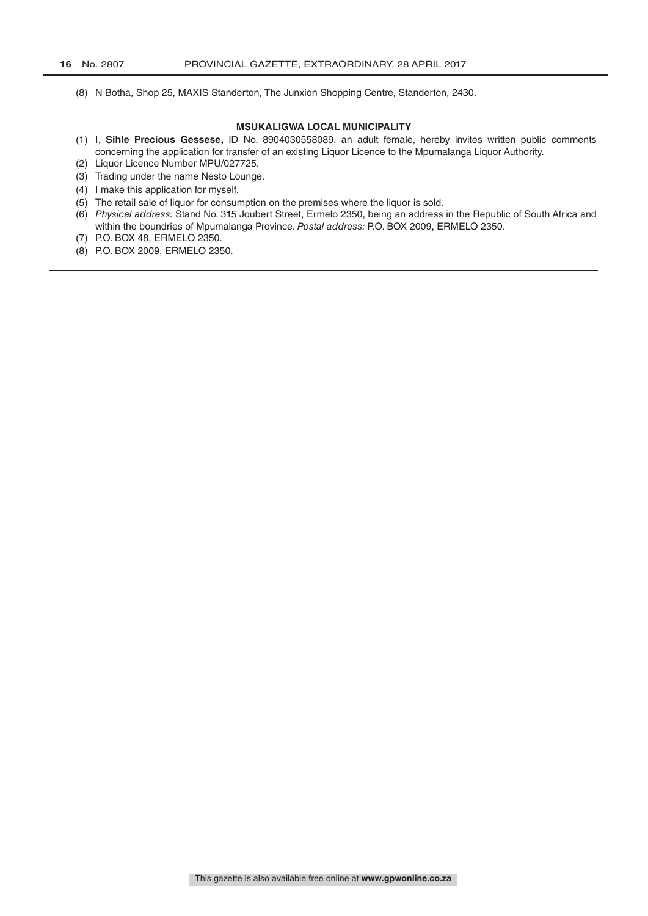(8) N Botha, Shop 25, MAXIS Standerton, The Junxion Shopping Centre, Standerton, 2430.

### **MSUKALIGWA LOCAL MUNICIPALITY**

- (1) I, **Sihle Precious Gessese,** ID No. 8904030558089, an adult female, hereby invites written public comments concerning the application for transfer of an existing Liquor Licence to the Mpumalanga Liquor Authority.
- (2) Liquor Licence Number MPU/027725.
- (3) Trading under the name Nesto Lounge.
- (4) I make this application for myself.
- (5) The retail sale of liquor for consumption on the premises where the liquor is sold.
- (6) *Physical address:* Stand No. 315 Joubert Street, Ermelo 2350, being an address in the Republic of South Africa and within the boundries of Mpumalanga Province. *Postal address:* P.O. BOX 2009, ERMELO 2350.
- (7) P.O. BOX 48, ERMELO 2350.
- (8) P.O. BOX 2009, ERMELO 2350.